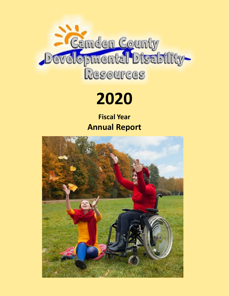

# **2020**

**Fiscal Year Annual Report**

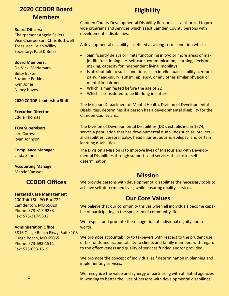# **2020 CCDDR Board Members**

#### **Board Officers:**

Chairperson: Angela Sellers Vice Chairperson: Chris Bothwell Treasurer: Brian Willey Secretary: Paul DiBello

#### **Board Members:**

Dr. Vicki McNamara Betty Baxter Suzanne Perkins Kym Jones Nancy Hayes

#### **2020 CCDDR Leadership Staff**

**Executive Director** Eddie Thomas

#### **TCM Supervisors**

Lori Cornwell Ryan Johnson

**Compliance Manager** Linda Simms

**Accounting Manager** Marcie Vansyoc

## **CCDDR Offices**

#### **Targeted Case Management**

100 Third St., PO Box 722 Camdenton, MO 65020 Phone: 573-317-9233 Fax: 573-317-9332

#### **Administration Office**

5816 Osage Beach Pkwy, Suite 108 Osage Beach, MO 65065 Phone: 573-693-1511 Fax: 573-693-1515

# **Eligibility**

Camden County Developmental Disability Resources is authorized to provide programs and services which assist Camden County persons with developmental disabilities.

A developmental disability is defined as a long-term condition which:

- Significantly delays or limits functioning in two or more areas of major life functioning (i.e. self-care, communication, learning, decisionmaking, capacity for independent living, mobility)
- Is attributable to such conditions as an intellectual disability, cerebral palsy, head-injury, autism, epilepsy, or any other similar physical or mental impairment
- Which is manifested before the age of 22
- Which is considered to be life-long in nature

The Missouri Department of Mental Health, Division of Developmental Disabilities, determines if a person has a developmental disability for the Camden County area.

The Division of Developmental Disabilities (DD), established in 1974, serves a population that has developmental disabilities such as intellectual disabilities, cerebral palsy, head injuries, autism, epilepsy, and certain learning disabilities.

The Division's Mission is to improve lives of Missourians with Developmental Disabilities through supports and services that foster selfdetermination.

## **Mission**

We provide persons with developmental disabilities the necessary tools to achieve self-determined lives, while ensuring quality services.

## **Our Core Values**

We believe that our community thrives when all individuals become capable of participating in the spectrum of community life.

We respect and promote the recognition of individual dignity and selfworth.

We promote accountability to taxpayers with respect to the prudent use of tax funds and accountability to clients and family members with regard to the effectiveness and quality of services funded and/or provided.

We promote the concept of individual self determination in planning and implementing services.

We recognize the value and synergy of partnering with affiliated agencies in working to better the lives of persons with developmental disabilities.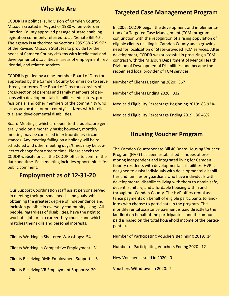## **Who We Are**

CCDDR is a political subdivision of Camden County, Missouri created in August of 1980 when voters in Camden County approved passage of state enabling legislation commonly referred to as "Senate Bill 40". The agency is authorized by Sections 205.968-205.972 of the Revised Missouri Statutes to provide for the needs of Camden County citizens with intellectual and developmental disabilities in areas of employment, residential, and related services.

CCDDR is guided by a nine-member Board of Directors appointed by the Camden County Commission to serve three year terms. The Board of Directors consists of a cross-section of parents and family members of persons with developmental disabilities, educators, professionals, and other members of the community who act as advocates for our county's citizens with intellectual and developmental disabilities.

Board Meetings, which are open to the public, are generally held on a monthly basis; however, monthly meeting may be cancelled in extraordinary circumstances. Any meeting falling on a holiday will be rescheduled and other meeting days/times may be subject to change from time to time. Please check the CCDDR website or call the CCDDR office to confirm the date and time. Each meeting includes opportunities for public comment.

## **Employment as of 12-31-20**

Our Support Coordination staff assist persons served in meeting their personal needs and goals while obtaining the greatest degree of independence and inclusion possible in everyday community living. All people, regardless of disabilities, have the right to work at a job or in a career they choose and which matches their skills and personal interests.

| <b>Clients Working in Sheltered Workshops: 54</b>    |
|------------------------------------------------------|
| <b>Clients Working in Competitive Employment: 31</b> |
| <b>Clients Receiving DMH Employment Supports: 5</b>  |
| <b>Clients Receiving VR Employment Supports: 20</b>  |

## **Targeted Case Management Program**

In 2006, CCDDR began the development and implementation of a Targeted Case Management (TCM) program in conjunction with the recognition of a rising population of eligible clients residing in Camden County and a growing need for localization of State-provided TCM services. After development, CCDDR was successful in procuring a TCM contract with the Missouri Department of Mental Health, Division of Developmental Disabilities, and became the recognized local provider of TCM services.

Number of Clients Beginning 2020: 367

Number of Clients Ending 2020: 332

Medicaid Eligibility Percentage Beginning 2019: 83.92%

Medicaid Eligibility Percentage Ending 2019: 86.45%

## **Housing Voucher Program**

The Camden County Senate Bill 40 Board Housing Voucher Program (HVP) has been established in hopes of promoting independent and integrated living for Camden County residents with developmental disabilities. HVP is designed to assist individuals with developmental disabilities and families or guardians who have individuals with developmental disabilities living with them to obtain safe, decent, sanitary, and affordable housing within and throughout Camden County. The HVP offers rental assistance payments on behalf of eligible participants to landlords who choose to participate in the program. The monthly rental assistance payment is paid directly to the landlord on behalf of the participant(s), and the amount paid is based on the total household income of the participant(s).

Number of Participating Vouchers Beginning 2019: 14

Number of Participating Vouchers Ending 2020: 12

New Vouchers Issued in 2020: 0

Vouchers Withdrawn in 2020: 2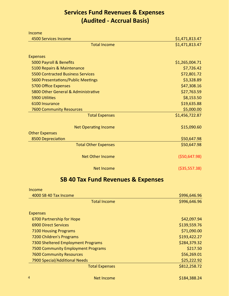# **Services Fund Revenues & Expenses (Audited - Accrual Basis)**

| Income                                   |                |
|------------------------------------------|----------------|
| <b>4500 Services Income</b>              | \$1,471,813.47 |
| <b>Total Income</b>                      | \$1,471,813.47 |
| <b>Expenses</b>                          |                |
| 5000 Payroll & Benefits                  | \$1,265,004.71 |
| 5100 Repairs & Maintenance               | \$7,726.42     |
| <b>5500 Contracted Business Services</b> | \$72,801.72    |
| 5600 Presentations/Public Meetings       | \$3,328.89     |
| 5700 Office Expenses                     | \$47,308.16    |
| 5800 Other General & Administrative      | \$27,763.59    |
| 5900 Utilities                           | \$8,153.50     |
| 6100 Insurance                           | \$19,635.88    |
| <b>7600 Community Resources</b>          | \$5,000.00     |
| <b>Total Expenses</b>                    | \$1,456,722.87 |
| <b>Net Operating Income</b>              | \$15,090.60    |
| <b>Other Expenses</b>                    |                |
| 8500 Depreciation                        | \$50,647.98    |
| <b>Total Other Expenses</b>              | \$50,647.98    |
| <b>Net Other Income</b>                  | ( \$50,647.98) |
| <b>Net Income</b>                        | ( \$35,557.38) |

# **SB 40 Tax Fund Revenues & Expenses**

| Income                              |              |
|-------------------------------------|--------------|
| 4000 SB 40 Tax Income               | \$996,646.96 |
| <b>Total Income</b>                 | \$996,646.96 |
| <b>Expenses</b>                     |              |
| 6700 Partnership for Hope           | \$42,097.94  |
| <b>6900 Direct Services</b>         | \$139,559.76 |
| <b>7100 Housing Programs</b>        | \$71,090.00  |
| 7200 Children's Programs            | \$193,422.27 |
| 7300 Sheltered Employment Programs  | \$284,379.32 |
| 7500 Community Employment Programs  | \$217.50     |
| <b>7600 Community Resources</b>     | \$56,269.01  |
| 7900 Special/Additional Needs       | \$25,222.92  |
| <b>Total Expenses</b>               | \$812,258.72 |
| $\overline{4}$<br><b>Net Income</b> | \$184,388.24 |